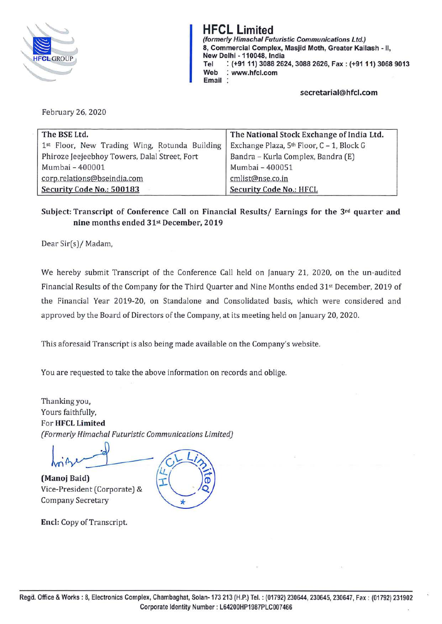

**HFCL Limited (formerly Himachal Futuristic Communications Ltd.) 8, Commercial Complex, Masjid Moth, Greater Kailash** - 11, **New Delhi** - **110048, India Tel** : **(+9111) 3088 2624, 3088 2626, Fax: (+9111) 3068 9013 Web** : **www.hfcl.com Email** :

**secretarial@hfcl.com** 

February 26, 2020

| The BSE Ltd.                                  | The National Stock Exchange of India Ltd. |
|-----------------------------------------------|-------------------------------------------|
| 1st Floor, New Trading Wing, Rotunda Building | Exchange Plaza, 5th Floor, C - 1, Block G |
| Phiroze Jeejeebhoy Towers, Dalal Street, Fort | Bandra - Kurla Complex, Bandra (E)        |
| Mumbai - 400001                               | Mumbai - 400051                           |
| corp.relations@bseindia.com                   | cmlist@nse.co.in                          |
| Security Code No.: 500183                     | <b>Security Code No.: HFCL</b>            |

**Subject: Transcript of Conference Call on Financial Results/ Earnings for the 3rd quarter and nine months ended 31st December, 2019** 

Dear Sir(s)/ Madam,

We hereby submit Transcript of the Conference Call held on January 21, 2020, on the un-audited Financial Results of the Company for the Third Quarter and Nine Months ended 31st December, 2019 of the Financial Year 2019-20, on Standalone and Consolidated basis, which were considered and approved by the Board of Directors of the Company, at its meeting held on January 20, 2020.

This aforesaid Transcript is also being made available on the Company's website.

You are requested to take the above information on records and oblige.

Thanking you, Yours faithfully, For **HFCL Limited**  *[Formerly Himachal Futuristic Communications limited)* 

 $h_{\text{min}}$ 

Company Secretary

**(Manoj Baid)**<br>
Vice-President (Corporate) &  $\frac{L(s)}{L(s)}$  $\tilde{\circ}$ ÷

**Encl:** Copy of Transcript.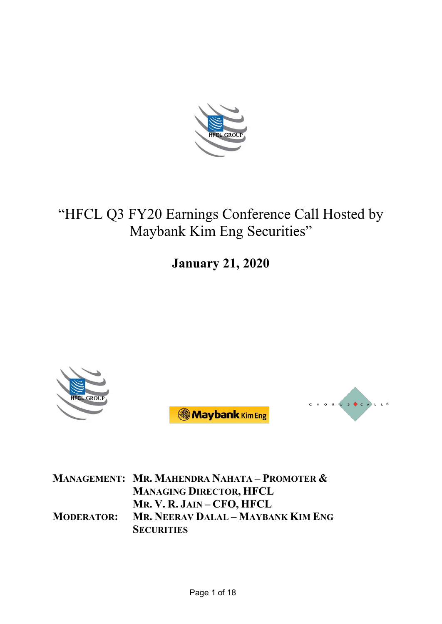

# "HFCL Q3 FY20 Earnings Conference Call Hosted by Maybank Kim Eng Securities"

**January 21, 2020**







**MANAGEMENT: MR. MAHENDRA NAHATA – PROMOTER & MANAGING DIRECTOR, HFCL MR. V. R. JAIN – CFO, HFCL MODERATOR: MR. NEERAV DALAL – MAYBANK KIM ENG SECURITIES**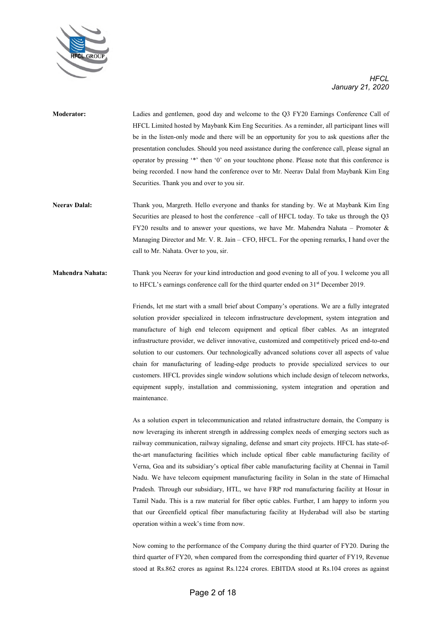

- **Moderator:** Ladies and gentlemen, good day and welcome to the Q3 FY20 Earnings Conference Call of HFCL Limited hosted by Maybank Kim Eng Securities. As a reminder, all participant lines will be in the listen-only mode and there will be an opportunity for you to ask questions after the presentation concludes. Should you need assistance during the conference call, please signal an operator by pressing '\*' then '0' on your touchtone phone. Please note that this conference is being recorded. I now hand the conference over to Mr. Neerav Dalal from Maybank Kim Eng Securities. Thank you and over to you sir.
- **Neerav Dalal:** Thank you, Margreth. Hello everyone and thanks for standing by. We at Maybank Kim Eng Securities are pleased to host the conference –call of HFCL today. To take us through the Q3 FY20 results and to answer your questions, we have Mr. Mahendra Nahata – Promoter & Managing Director and Mr. V. R. Jain – CFO, HFCL. For the opening remarks, I hand over the call to Mr. Nahata. Over to you, sir.
- **Mahendra Nahata:** Thank you Neerav for your kind introduction and good evening to all of you. I welcome you all to HFCL's earnings conference call for the third quarter ended on 31<sup>st</sup> December 2019.

Friends, let me start with a small brief about Company's operations. We are a fully integrated solution provider specialized in telecom infrastructure development, system integration and manufacture of high end telecom equipment and optical fiber cables. As an integrated infrastructure provider, we deliver innovative, customized and competitively priced end-to-end solution to our customers. Our technologically advanced solutions cover all aspects of value chain for manufacturing of leading-edge products to provide specialized services to our customers. HFCL provides single window solutions which include design of telecom networks, equipment supply, installation and commissioning, system integration and operation and maintenance.

As a solution expert in telecommunication and related infrastructure domain, the Company is now leveraging its inherent strength in addressing complex needs of emerging sectors such as railway communication, railway signaling, defense and smart city projects. HFCL has state-ofthe-art manufacturing facilities which include optical fiber cable manufacturing facility of Verna, Goa and its subsidiary's optical fiber cable manufacturing facility at Chennai in Tamil Nadu. We have telecom equipment manufacturing facility in Solan in the state of Himachal Pradesh. Through our subsidiary, HTL, we have FRP rod manufacturing facility at Hosur in Tamil Nadu. This is a raw material for fiber optic cables. Further, I am happy to inform you that our Greenfield optical fiber manufacturing facility at Hyderabad will also be starting operation within a week's time from now.

Now coming to the performance of the Company during the third quarter of FY20. During the third quarter of FY20, when compared from the corresponding third quarter of FY19, Revenue stood at Rs.862 crores as against Rs.1224 crores. EBITDA stood at Rs.104 crores as against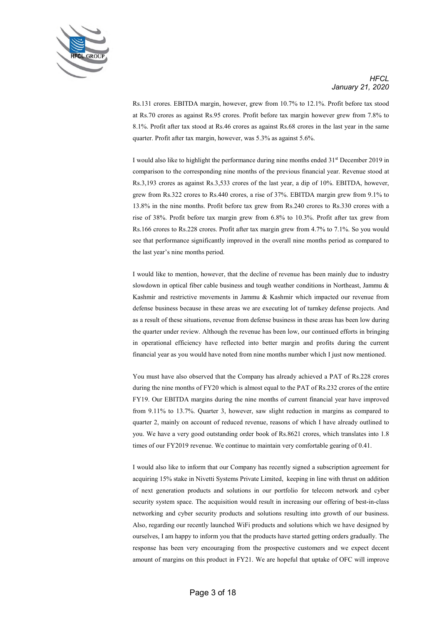

Rs.131 crores. EBITDA margin, however, grew from 10.7% to 12.1%. Profit before tax stood at Rs.70 crores as against Rs.95 crores. Profit before tax margin however grew from 7.8% to 8.1%. Profit after tax stood at Rs.46 crores as against Rs.68 crores in the last year in the same quarter. Profit after tax margin, however, was 5.3% as against 5.6%.

I would also like to highlight the performance during nine months ended  $31<sup>st</sup>$  December 2019 in comparison to the corresponding nine months of the previous financial year. Revenue stood at Rs.3,193 crores as against Rs.3,533 crores of the last year, a dip of 10%. EBITDA, however, grew from Rs.322 crores to Rs.440 crores, a rise of 37%. EBITDA margin grew from 9.1% to 13.8% in the nine months. Profit before tax grew from Rs.240 crores to Rs.330 crores with a rise of 38%. Profit before tax margin grew from 6.8% to 10.3%. Profit after tax grew from Rs.166 crores to Rs.228 crores. Profit after tax margin grew from 4.7% to 7.1%. So you would see that performance significantly improved in the overall nine months period as compared to the last year's nine months period.

I would like to mention, however, that the decline of revenue has been mainly due to industry slowdown in optical fiber cable business and tough weather conditions in Northeast, Jammu & Kashmir and restrictive movements in Jammu & Kashmir which impacted our revenue from defense business because in these areas we are executing lot of turnkey defense projects. And as a result of these situations, revenue from defense business in these areas has been low during the quarter under review. Although the revenue has been low, our continued efforts in bringing in operational efficiency have reflected into better margin and profits during the current financial year as you would have noted from nine months number which I just now mentioned.

You must have also observed that the Company has already achieved a PAT of Rs.228 crores during the nine months of FY20 which is almost equal to the PAT of Rs.232 crores of the entire FY19. Our EBITDA margins during the nine months of current financial year have improved from 9.11% to 13.7%. Quarter 3, however, saw slight reduction in margins as compared to quarter 2, mainly on account of reduced revenue, reasons of which I have already outlined to you. We have a very good outstanding order book of Rs.8621 crores, which translates into 1.8 times of our FY2019 revenue. We continue to maintain very comfortable gearing of 0.41.

I would also like to inform that our Company has recently signed a subscription agreement for acquiring 15% stake in Nivetti Systems Private Limited, keeping in line with thrust on addition of next generation products and solutions in our portfolio for telecom network and cyber security system space. The acquisition would result in increasing our offering of best-in-class networking and cyber security products and solutions resulting into growth of our business. Also, regarding our recently launched WiFi products and solutions which we have designed by ourselves, I am happy to inform you that the products have started getting orders gradually. The response has been very encouraging from the prospective customers and we expect decent amount of margins on this product in FY21. We are hopeful that uptake of OFC will improve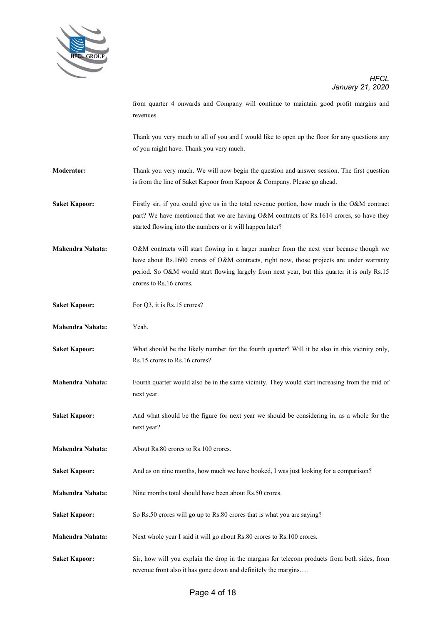

from quarter 4 onwards and Company will continue to maintain good profit margins and revenues.

Thank you very much to all of you and I would like to open up the floor for any questions any of you might have. Thank you very much.

- **Moderator:** Thank you very much. We will now begin the question and answer session. The first question is from the line of Saket Kapoor from Kapoor & Company. Please go ahead.
- **Saket Kapoor:** Firstly sir, if you could give us in the total revenue portion, how much is the O&M contract part? We have mentioned that we are having O&M contracts of Rs.1614 crores, so have they started flowing into the numbers or it will happen later?
- **Mahendra Nahata:** O&M contracts will start flowing in a larger number from the next year because though we have about Rs.1600 crores of O&M contracts, right now, those projects are under warranty period. So O&M would start flowing largely from next year, but this quarter it is only Rs.15 crores to Rs.16 crores.
- **Saket Kapoor:** For O3, it is Rs.15 crores?
- **Mahendra Nahata:** Yeah.
- **Saket Kapoor:** What should be the likely number for the fourth quarter? Will it be also in this vicinity only, Rs.15 crores to Rs.16 crores?
- **Mahendra Nahata:** Fourth quarter would also be in the same vicinity. They would start increasing from the mid of next year.
- **Saket Kapoor:** And what should be the figure for next year we should be considering in, as a whole for the next year?
- **Mahendra Nahata:** About Rs.80 crores to Rs.100 crores.

**Saket Kapoor:** And as on nine months, how much we have booked, I was just looking for a comparison?

- **Mahendra Nahata:** Nine months total should have been about Rs.50 crores.
- Saket Kapoor: So Rs.50 crores will go up to Rs.80 crores that is what you are saying?
- **Mahendra Nahata:** Next whole year I said it will go about Rs.80 crores to Rs.100 crores.
- **Saket Kapoor:** Sir, how will you explain the drop in the margins for telecom products from both sides, from revenue front also it has gone down and definitely the margins….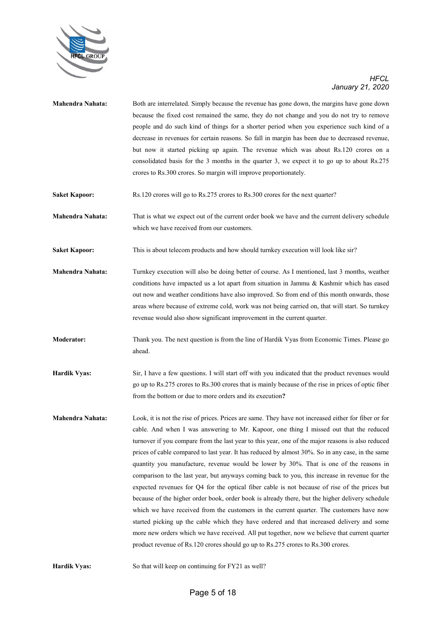

- **Mahendra Nahata:** Both are interrelated. Simply because the revenue has gone down, the margins have gone down because the fixed cost remained the same, they do not change and you do not try to remove people and do such kind of things for a shorter period when you experience such kind of a decrease in revenues for certain reasons. So fall in margin has been due to decreased revenue, but now it started picking up again. The revenue which was about Rs.120 crores on a consolidated basis for the 3 months in the quarter 3, we expect it to go up to about Rs.275 crores to Rs.300 crores. So margin will improve proportionately.
- **Saket Kapoor:** Rs.120 crores will go to Rs.275 crores to Rs.300 crores for the next quarter?

**Mahendra Nahata:** That is what we expect out of the current order book we have and the current delivery schedule which we have received from our customers.

- **Saket Kapoor:** This is about telecom products and how should turnkey execution will look like sir?
- **Mahendra Nahata:** Turnkey execution will also be doing better of course. As I mentioned, last 3 months, weather conditions have impacted us a lot apart from situation in Jammu & Kashmir which has eased out now and weather conditions have also improved. So from end of this month onwards, those areas where because of extreme cold, work was not being carried on, that will start. So turnkey revenue would also show significant improvement in the current quarter.
- **Moderator:** Thank you. The next question is from the line of Hardik Vyas from Economic Times. Please go ahead.
- **Hardik Vyas:** Sir, I have a few questions. I will start off with you indicated that the product revenues would go up to Rs.275 crores to Rs.300 crores that is mainly because of the rise in prices of optic fiber from the bottom or due to more orders and its execution**?**
- **Mahendra Nahata:** Look, it is not the rise of prices. Prices are same. They have not increased either for fiber or for cable. And when I was answering to Mr. Kapoor, one thing I missed out that the reduced turnover if you compare from the last year to this year, one of the major reasons is also reduced prices of cable compared to last year. It has reduced by almost 30%. So in any case, in the same quantity you manufacture, revenue would be lower by 30%. That is one of the reasons in comparison to the last year, but anyways coming back to you, this increase in revenue for the expected revenues for Q4 for the optical fiber cable is not because of rise of the prices but because of the higher order book, order book is already there, but the higher delivery schedule which we have received from the customers in the current quarter. The customers have now started picking up the cable which they have ordered and that increased delivery and some more new orders which we have received. All put together, now we believe that current quarter product revenue of Rs.120 crores should go up to Rs.275 crores to Rs.300 crores.

**Hardik Vyas:** So that will keep on continuing for FY21 as well?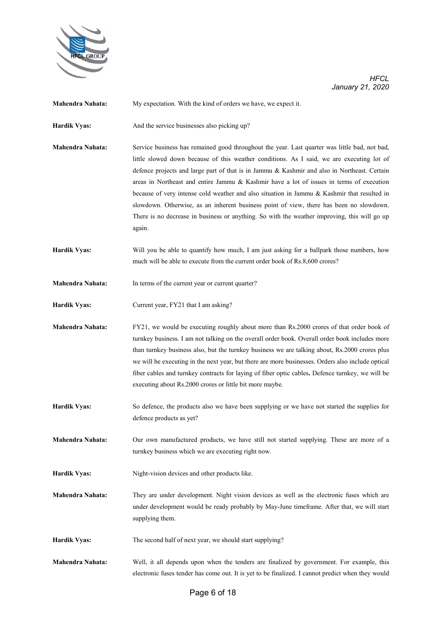

| Mahendra Nahata:        | My expectation. With the kind of orders we have, we expect it.                                                                                                                                                                                                                                                                                                                                                                                                                                                                                                                                                                                                                             |
|-------------------------|--------------------------------------------------------------------------------------------------------------------------------------------------------------------------------------------------------------------------------------------------------------------------------------------------------------------------------------------------------------------------------------------------------------------------------------------------------------------------------------------------------------------------------------------------------------------------------------------------------------------------------------------------------------------------------------------|
| <b>Hardik Vyas:</b>     | And the service businesses also picking up?                                                                                                                                                                                                                                                                                                                                                                                                                                                                                                                                                                                                                                                |
| Mahendra Nahata:        | Service business has remained good throughout the year. Last quarter was little bad, not bad,<br>little slowed down because of this weather conditions. As I said, we are executing lot of<br>defence projects and large part of that is in Jammu & Kashmir and also in Northeast. Certain<br>areas in Northeast and entire Jammu & Kashmir have a lot of issues in terms of execution<br>because of very intense cold weather and also situation in Jammu & Kashmir that resulted in<br>slowdown. Otherwise, as an inherent business point of view, there has been no slowdown.<br>There is no decrease in business or anything. So with the weather improving, this will go up<br>again. |
| <b>Hardik Vyas:</b>     | Will you be able to quantify how much, I am just asking for a ballpark those numbers, how<br>much will be able to execute from the current order book of Rs.8,600 crores?                                                                                                                                                                                                                                                                                                                                                                                                                                                                                                                  |
| Mahendra Nahata:        | In terms of the current year or current quarter?                                                                                                                                                                                                                                                                                                                                                                                                                                                                                                                                                                                                                                           |
| <b>Hardik Vyas:</b>     | Current year, FY21 that I am asking?                                                                                                                                                                                                                                                                                                                                                                                                                                                                                                                                                                                                                                                       |
| Mahendra Nahata:        | FY21, we would be executing roughly about more than Rs.2000 crores of that order book of<br>turnkey business. I am not talking on the overall order book. Overall order book includes more<br>than turnkey business also, but the turnkey business we are talking about, Rs.2000 crores plus<br>we will be executing in the next year, but there are more businesses. Orders also include optical<br>fiber cables and turnkey contracts for laying of fiber optic cables. Defence turnkey, we will be<br>executing about Rs.2000 crores or little bit more maybe.                                                                                                                          |
| <b>Hardik Vyas:</b>     | So defence, the products also we have been supplying or we have not started the supplies for<br>defence products as yet?                                                                                                                                                                                                                                                                                                                                                                                                                                                                                                                                                                   |
| Mahendra Nahata:        | Our own manufactured products, we have still not started supplying. These are more of a<br>turnkey business which we are executing right now.                                                                                                                                                                                                                                                                                                                                                                                                                                                                                                                                              |
| <b>Hardik Vyas:</b>     | Night-vision devices and other products like.                                                                                                                                                                                                                                                                                                                                                                                                                                                                                                                                                                                                                                              |
| <b>Mahendra Nahata:</b> | They are under development. Night vision devices as well as the electronic fuses which are<br>under development would be ready probably by May-June timeframe. After that, we will start<br>supplying them.                                                                                                                                                                                                                                                                                                                                                                                                                                                                                |
| <b>Hardik Vyas:</b>     | The second half of next year, we should start supplying?                                                                                                                                                                                                                                                                                                                                                                                                                                                                                                                                                                                                                                   |
| Mahendra Nahata:        | Well, it all depends upon when the tenders are finalized by government. For example, this<br>electronic fuses tender has come out. It is yet to be finalized. I cannot predict when they would                                                                                                                                                                                                                                                                                                                                                                                                                                                                                             |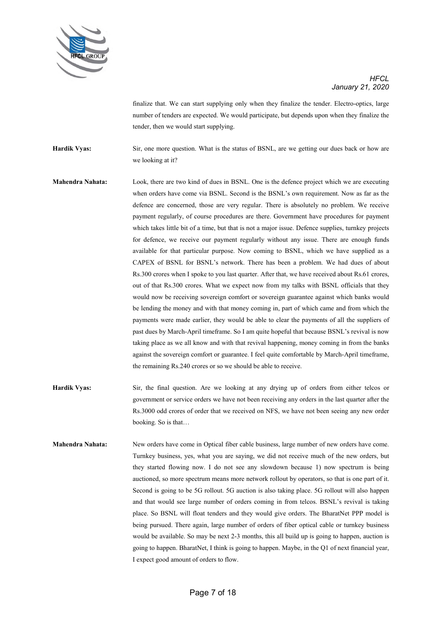

finalize that. We can start supplying only when they finalize the tender. Electro-optics, large number of tenders are expected. We would participate, but depends upon when they finalize the tender, then we would start supplying.

**Hardik Vyas:** Sir, one more question. What is the status of BSNL, are we getting our dues back or how are we looking at it?

- **Mahendra Nahata:** Look, there are two kind of dues in BSNL. One is the defence project which we are executing when orders have come via BSNL. Second is the BSNL's own requirement. Now as far as the defence are concerned, those are very regular. There is absolutely no problem. We receive payment regularly, of course procedures are there. Government have procedures for payment which takes little bit of a time, but that is not a major issue. Defence supplies, turnkey projects for defence, we receive our payment regularly without any issue. There are enough funds available for that particular purpose. Now coming to BSNL, which we have supplied as a CAPEX of BSNL for BSNL's network. There has been a problem. We had dues of about Rs.300 crores when I spoke to you last quarter. After that, we have received about Rs.61 crores, out of that Rs.300 crores. What we expect now from my talks with BSNL officials that they would now be receiving sovereign comfort or sovereign guarantee against which banks would be lending the money and with that money coming in, part of which came and from which the payments were made earlier, they would be able to clear the payments of all the suppliers of past dues by March-April timeframe. So I am quite hopeful that because BSNL's revival is now taking place as we all know and with that revival happening, money coming in from the banks against the sovereign comfort or guarantee. I feel quite comfortable by March-April timeframe, the remaining Rs.240 crores or so we should be able to receive.
- **Hardik Vyas:** Sir, the final question. Are we looking at any drying up of orders from either telcos or government or service orders we have not been receiving any orders in the last quarter after the Rs.3000 odd crores of order that we received on NFS, we have not been seeing any new order booking. So is that…
- **Mahendra Nahata:** New orders have come in Optical fiber cable business, large number of new orders have come. Turnkey business, yes, what you are saying, we did not receive much of the new orders, but they started flowing now. I do not see any slowdown because 1) now spectrum is being auctioned, so more spectrum means more network rollout by operators, so that is one part of it. Second is going to be 5G rollout. 5G auction is also taking place. 5G rollout will also happen and that would see large number of orders coming in from telcos. BSNL's revival is taking place. So BSNL will float tenders and they would give orders. The BharatNet PPP model is being pursued. There again, large number of orders of fiber optical cable or turnkey business would be available. So may be next 2-3 months, this all build up is going to happen, auction is going to happen. BharatNet, I think is going to happen. Maybe, in the Q1 of next financial year, I expect good amount of orders to flow.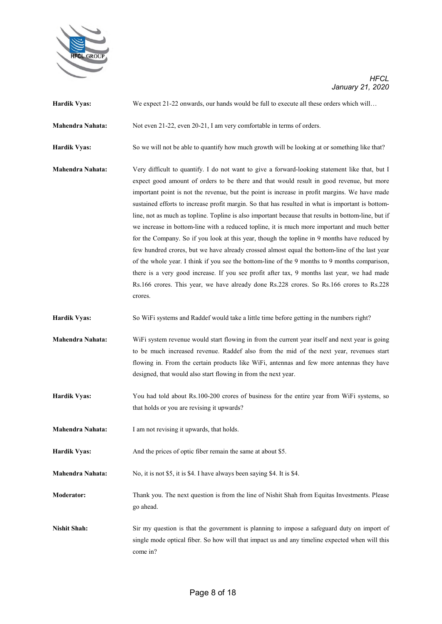

| <b>Hardik Vyas:</b>     | We expect 21-22 onwards, our hands would be full to execute all these orders which will                                                                                                                                                                                                                                                                                                                                                                                                                                                                                                                                                                                                                                                                                                                                                                                                                                                                                                                                                                                                                         |
|-------------------------|-----------------------------------------------------------------------------------------------------------------------------------------------------------------------------------------------------------------------------------------------------------------------------------------------------------------------------------------------------------------------------------------------------------------------------------------------------------------------------------------------------------------------------------------------------------------------------------------------------------------------------------------------------------------------------------------------------------------------------------------------------------------------------------------------------------------------------------------------------------------------------------------------------------------------------------------------------------------------------------------------------------------------------------------------------------------------------------------------------------------|
| Mahendra Nahata:        | Not even 21-22, even 20-21, I am very comfortable in terms of orders.                                                                                                                                                                                                                                                                                                                                                                                                                                                                                                                                                                                                                                                                                                                                                                                                                                                                                                                                                                                                                                           |
| <b>Hardik Vyas:</b>     | So we will not be able to quantify how much growth will be looking at or something like that?                                                                                                                                                                                                                                                                                                                                                                                                                                                                                                                                                                                                                                                                                                                                                                                                                                                                                                                                                                                                                   |
| <b>Mahendra Nahata:</b> | Very difficult to quantify. I do not want to give a forward-looking statement like that, but I<br>expect good amount of orders to be there and that would result in good revenue, but more<br>important point is not the revenue, but the point is increase in profit margins. We have made<br>sustained efforts to increase profit margin. So that has resulted in what is important is bottom-<br>line, not as much as topline. Topline is also important because that results in bottom-line, but if<br>we increase in bottom-line with a reduced topline, it is much more important and much better<br>for the Company. So if you look at this year, though the topline in 9 months have reduced by<br>few hundred crores, but we have already crossed almost equal the bottom-line of the last year<br>of the whole year. I think if you see the bottom-line of the 9 months to 9 months comparison,<br>there is a very good increase. If you see profit after tax, 9 months last year, we had made<br>Rs.166 crores. This year, we have already done Rs.228 crores. So Rs.166 crores to Rs.228<br>crores. |
| <b>Hardik Vyas:</b>     | So WiFi systems and Raddef would take a little time before getting in the numbers right?                                                                                                                                                                                                                                                                                                                                                                                                                                                                                                                                                                                                                                                                                                                                                                                                                                                                                                                                                                                                                        |
| <b>Mahendra Nahata:</b> | WiFi system revenue would start flowing in from the current year itself and next year is going<br>to be much increased revenue. Raddef also from the mid of the next year, revenues start<br>flowing in. From the certain products like WiFi, antennas and few more antennas they have<br>designed, that would also start flowing in from the next year.                                                                                                                                                                                                                                                                                                                                                                                                                                                                                                                                                                                                                                                                                                                                                        |
| <b>Hardik Vyas:</b>     | You had told about Rs.100-200 crores of business for the entire year from WiFi systems, so<br>that holds or you are revising it upwards?                                                                                                                                                                                                                                                                                                                                                                                                                                                                                                                                                                                                                                                                                                                                                                                                                                                                                                                                                                        |
| <b>Mahendra Nahata:</b> | I am not revising it upwards, that holds.                                                                                                                                                                                                                                                                                                                                                                                                                                                                                                                                                                                                                                                                                                                                                                                                                                                                                                                                                                                                                                                                       |
| <b>Hardik Vyas:</b>     | And the prices of optic fiber remain the same at about \$5.                                                                                                                                                                                                                                                                                                                                                                                                                                                                                                                                                                                                                                                                                                                                                                                                                                                                                                                                                                                                                                                     |
| Mahendra Nahata:        | No, it is not \$5, it is \$4. I have always been saying \$4. It is \$4.                                                                                                                                                                                                                                                                                                                                                                                                                                                                                                                                                                                                                                                                                                                                                                                                                                                                                                                                                                                                                                         |
| <b>Moderator:</b>       | Thank you. The next question is from the line of Nishit Shah from Equitas Investments. Please<br>go ahead.                                                                                                                                                                                                                                                                                                                                                                                                                                                                                                                                                                                                                                                                                                                                                                                                                                                                                                                                                                                                      |
| <b>Nishit Shah:</b>     | Sir my question is that the government is planning to impose a safeguard duty on import of<br>single mode optical fiber. So how will that impact us and any timeline expected when will this<br>come in?                                                                                                                                                                                                                                                                                                                                                                                                                                                                                                                                                                                                                                                                                                                                                                                                                                                                                                        |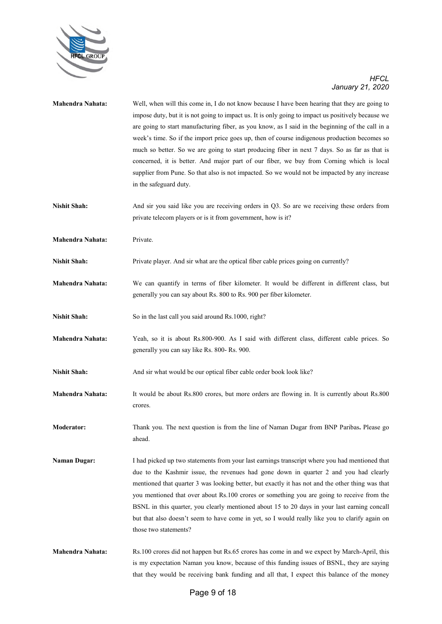

| <b>Mahendra Nahata:</b> | Well, when will this come in, I do not know because I have been hearing that they are going to<br>impose duty, but it is not going to impact us. It is only going to impact us positively because we<br>are going to start manufacturing fiber, as you know, as I said in the beginning of the call in a<br>week's time. So if the import price goes up, then of course indigenous production becomes so<br>much so better. So we are going to start producing fiber in next 7 days. So as far as that is<br>concerned, it is better. And major part of our fiber, we buy from Corning which is local<br>supplier from Pune. So that also is not impacted. So we would not be impacted by any increase<br>in the safeguard duty. |
|-------------------------|----------------------------------------------------------------------------------------------------------------------------------------------------------------------------------------------------------------------------------------------------------------------------------------------------------------------------------------------------------------------------------------------------------------------------------------------------------------------------------------------------------------------------------------------------------------------------------------------------------------------------------------------------------------------------------------------------------------------------------|
| <b>Nishit Shah:</b>     | And sir you said like you are receiving orders in Q3. So are we receiving these orders from<br>private telecom players or is it from government, how is it?                                                                                                                                                                                                                                                                                                                                                                                                                                                                                                                                                                      |
| <b>Mahendra Nahata:</b> | Private.                                                                                                                                                                                                                                                                                                                                                                                                                                                                                                                                                                                                                                                                                                                         |
| <b>Nishit Shah:</b>     | Private player. And sir what are the optical fiber cable prices going on currently?                                                                                                                                                                                                                                                                                                                                                                                                                                                                                                                                                                                                                                              |
| <b>Mahendra Nahata:</b> | We can quantify in terms of fiber kilometer. It would be different in different class, but<br>generally you can say about Rs. 800 to Rs. 900 per fiber kilometer.                                                                                                                                                                                                                                                                                                                                                                                                                                                                                                                                                                |
| <b>Nishit Shah:</b>     | So in the last call you said around Rs.1000, right?                                                                                                                                                                                                                                                                                                                                                                                                                                                                                                                                                                                                                                                                              |
| <b>Mahendra Nahata:</b> | Yeah, so it is about Rs.800-900. As I said with different class, different cable prices. So<br>generally you can say like Rs. 800- Rs. 900.                                                                                                                                                                                                                                                                                                                                                                                                                                                                                                                                                                                      |
| <b>Nishit Shah:</b>     | And sir what would be our optical fiber cable order book look like?                                                                                                                                                                                                                                                                                                                                                                                                                                                                                                                                                                                                                                                              |
| Mahendra Nahata:        | It would be about Rs.800 crores, but more orders are flowing in. It is currently about Rs.800<br>crores.                                                                                                                                                                                                                                                                                                                                                                                                                                                                                                                                                                                                                         |
| <b>Moderator:</b>       | Thank you. The next question is from the line of Naman Dugar from BNP Paribas. Please go<br>ahead.                                                                                                                                                                                                                                                                                                                                                                                                                                                                                                                                                                                                                               |
| <b>Naman Dugar:</b>     | I had picked up two statements from your last earnings transcript where you had mentioned that<br>due to the Kashmir issue, the revenues had gone down in quarter 2 and you had clearly<br>mentioned that quarter 3 was looking better, but exactly it has not and the other thing was that<br>you mentioned that over about Rs.100 crores or something you are going to receive from the<br>BSNL in this quarter, you clearly mentioned about 15 to 20 days in your last earning concall<br>but that also doesn't seem to have come in yet, so I would really like you to clarify again on<br>those two statements?                                                                                                             |
| Mahendra Nahata:        | Rs.100 crores did not happen but Rs.65 crores has come in and we expect by March-April, this<br>is my expectation Naman you know, because of this funding issues of BSNL, they are saying<br>that they would be receiving bank funding and all that, I expect this balance of the money                                                                                                                                                                                                                                                                                                                                                                                                                                          |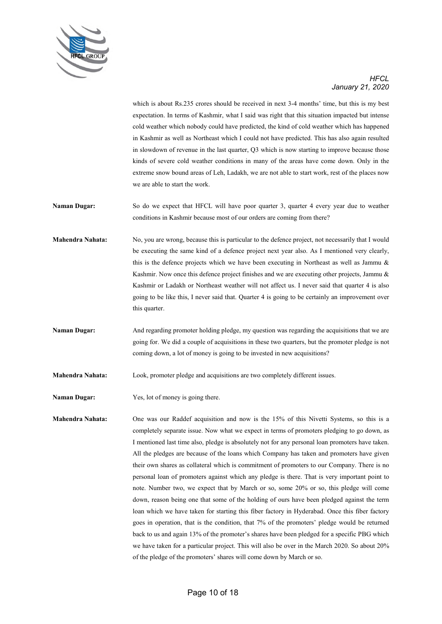

which is about Rs.235 crores should be received in next 3-4 months' time, but this is my best expectation. In terms of Kashmir, what I said was right that this situation impacted but intense cold weather which nobody could have predicted, the kind of cold weather which has happened in Kashmir as well as Northeast which I could not have predicted. This has also again resulted in slowdown of revenue in the last quarter, Q3 which is now starting to improve because those kinds of severe cold weather conditions in many of the areas have come down. Only in the extreme snow bound areas of Leh, Ladakh, we are not able to start work, rest of the places now we are able to start the work.

- **Naman Dugar:** So do we expect that HFCL will have poor quarter 3, quarter 4 every year due to weather conditions in Kashmir because most of our orders are coming from there?
- **Mahendra Nahata:** No, you are wrong, because this is particular to the defence project, not necessarily that I would be executing the same kind of a defence project next year also. As I mentioned very clearly, this is the defence projects which we have been executing in Northeast as well as Jammu & Kashmir. Now once this defence project finishes and we are executing other projects, Jammu & Kashmir or Ladakh or Northeast weather will not affect us. I never said that quarter 4 is also going to be like this, I never said that. Quarter 4 is going to be certainly an improvement over this quarter.
- **Naman Dugar:** And regarding promoter holding pledge, my question was regarding the acquisitions that we are going for. We did a couple of acquisitions in these two quarters, but the promoter pledge is not coming down, a lot of money is going to be invested in new acquisitions?
- **Mahendra Nahata:** Look, promoter pledge and acquisitions are two completely different issues.
- **Naman Dugar:** Yes, lot of money is going there.

**Mahendra Nahata:** One was our Raddef acquisition and now is the 15% of this Nivetti Systems, so this is a completely separate issue. Now what we expect in terms of promoters pledging to go down, as I mentioned last time also, pledge is absolutely not for any personal loan promoters have taken. All the pledges are because of the loans which Company has taken and promoters have given their own shares as collateral which is commitment of promoters to our Company. There is no personal loan of promoters against which any pledge is there. That is very important point to note. Number two, we expect that by March or so, some 20% or so, this pledge will come down, reason being one that some of the holding of ours have been pledged against the term loan which we have taken for starting this fiber factory in Hyderabad. Once this fiber factory goes in operation, that is the condition, that 7% of the promoters' pledge would be returned back to us and again 13% of the promoter's shares have been pledged for a specific PBG which we have taken for a particular project. This will also be over in the March 2020. So about 20% of the pledge of the promoters' shares will come down by March or so.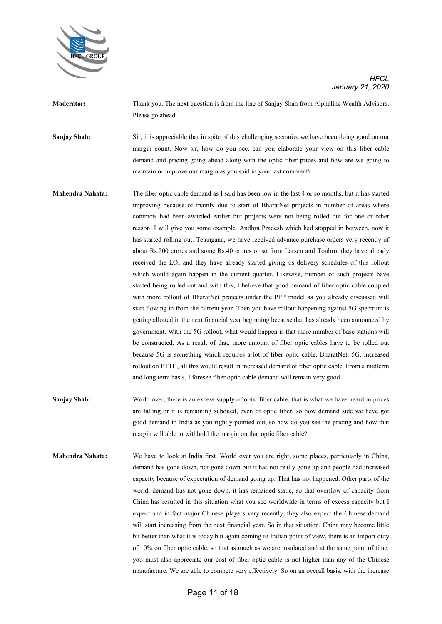

**Moderator:** Thank you. The next question is from the line of Sanjay Shah from Alphaline Wealth Advisors. Please go ahead.

**Sanjay Shah:** Sir, it is appreciable that in spite of this challenging scenario, we have been doing good on our margin count. Now sir, how do you see, can you elaborate your view on this fiber cable demand and pricing going ahead along with the optic fiber prices and how are we going to maintain or improve our margin as you said in your last comment?

- **Mahendra Nahata:** The fiber optic cable demand as I said has been low in the last 4 or so months, but it has started improving because of mainly due to start of BharatNet projects in number of areas where contracts had been awarded earlier but projects were not being rolled out for one or other reason. I will give you some example. Andhra Pradesh which had stopped in between, now it has started rolling out. Telangana, we have received advance purchase orders very recently of about Rs.200 crores and some Rs.40 crores or so from Larsen and Toubro, they have already received the LOI and they have already started giving us delivery schedules of this rollout which would again happen in the current quarter. Likewise, number of such projects have started being rolled out and with this, I believe that good demand of fiber optic cable coupled with more rollout of BharatNet projects under the PPP model as you already discussed will start flowing in from the current year. Then you have rollout happening against 5G spectrum is getting allotted in the next financial year beginning because that has already been announced by government. With the 5G rollout, what would happen is that more number of base stations will be constructed. As a result of that, more amount of fiber optic cables have to be rolled out because 5G is something which requires a lot of fiber optic cable. BharatNet, 5G, increased rollout on FTTH, all this would result in increased demand of fiber optic cable. From a midterm and long term basis, I foresee fiber optic cable demand will remain very good.
- **Sanjay Shah:** World over, there is an excess supply of optic fiber cable, that is what we have heard in prices are falling or it is remaining subdued, even of optic fiber, so how demand side we have got good demand in India as you rightly pointed out, so how do you see the pricing and how that margin will able to withhold the margin on that optic fiber cable?
- **Mahendra Nahata:** We have to look at India first. World over you are right, some places, particularly in China, demand has gone down, not gone down but it has not really gone up and people had increased capacity because of expectation of demand going up. That has not happened. Other parts of the world, demand has not gone down, it has remained static, so that overflow of capacity from China has resulted in this situation what you see worldwide in terms of excess capacity but I expect and in fact major Chinese players very recently, they also expect the Chinese demand will start increasing from the next financial year. So in that situation, China may become little bit better than what it is today but again coming to Indian point of view, there is an import duty of 10% on fiber optic cable, so that as much as we are insulated and at the same point of time, you must also appreciate our cost of fiber optic cable is not higher than any of the Chinese manufacture. We are able to compete very effectively. So on an overall basis, with the increase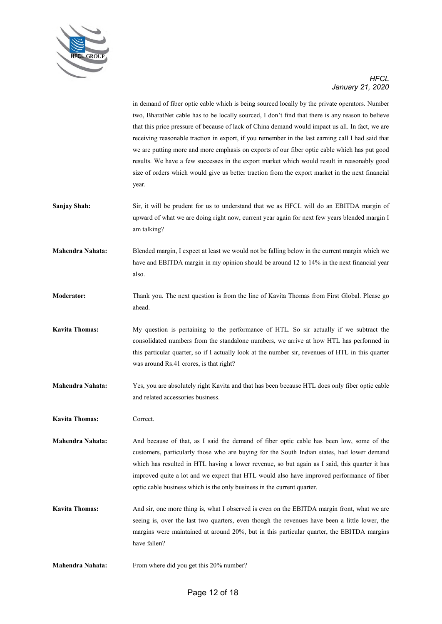

in demand of fiber optic cable which is being sourced locally by the private operators. Number two, BharatNet cable has to be locally sourced, I don't find that there is any reason to believe that this price pressure of because of lack of China demand would impact us all. In fact, we are receiving reasonable traction in export, if you remember in the last earning call I had said that we are putting more and more emphasis on exports of our fiber optic cable which has put good results. We have a few successes in the export market which would result in reasonably good size of orders which would give us better traction from the export market in the next financial year.

**Sanjay Shah:** Sir, it will be prudent for us to understand that we as HFCL will do an EBITDA margin of upward of what we are doing right now, current year again for next few years blended margin I am talking?

**Mahendra Nahata:** Blended margin, I expect at least we would not be falling below in the current margin which we have and EBITDA margin in my opinion should be around 12 to 14% in the next financial year also.

- **Moderator:** Thank you. The next question is from the line of Kavita Thomas from First Global. Please go ahead.
- **Kavita Thomas:** My question is pertaining to the performance of HTL. So sir actually if we subtract the consolidated numbers from the standalone numbers, we arrive at how HTL has performed in this particular quarter, so if I actually look at the number sir, revenues of HTL in this quarter was around Rs.41 crores, is that right?
- **Mahendra Nahata:** Yes, you are absolutely right Kavita and that has been because HTL does only fiber optic cable and related accessories business.

**Kavita Thomas:** Correct.

**Mahendra Nahata:** And because of that, as I said the demand of fiber optic cable has been low, some of the customers, particularly those who are buying for the South Indian states, had lower demand which has resulted in HTL having a lower revenue, so but again as I said, this quarter it has improved quite a lot and we expect that HTL would also have improved performance of fiber optic cable business which is the only business in the current quarter.

**Kavita Thomas:** And sir, one more thing is, what I observed is even on the EBITDA margin front, what we are seeing is, over the last two quarters, even though the revenues have been a little lower, the margins were maintained at around 20%, but in this particular quarter, the EBITDA margins have fallen?

**Mahendra Nahata:** From where did you get this 20% number?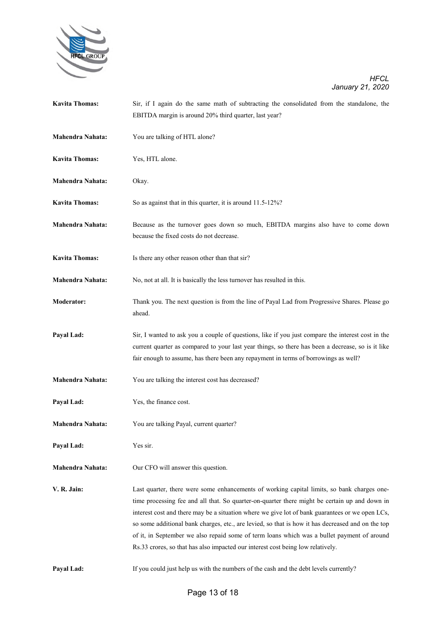

| <b>Kavita Thomas:</b>   | Sir, if I again do the same math of subtracting the consolidated from the standalone, the         |
|-------------------------|---------------------------------------------------------------------------------------------------|
|                         | EBITDA margin is around 20% third quarter, last year?                                             |
|                         |                                                                                                   |
| <b>Mahendra Nahata:</b> | You are talking of HTL alone?                                                                     |
|                         |                                                                                                   |
| <b>Kavita Thomas:</b>   | Yes, HTL alone.                                                                                   |
|                         |                                                                                                   |
| <b>Mahendra Nahata:</b> | Okay.                                                                                             |
|                         |                                                                                                   |
| <b>Kavita Thomas:</b>   | So as against that in this quarter, it is around 11.5-12%?                                        |
|                         |                                                                                                   |
| <b>Mahendra Nahata:</b> | Because as the turnover goes down so much, EBITDA margins also have to come down                  |
|                         | because the fixed costs do not decrease.                                                          |
| <b>Kavita Thomas:</b>   | Is there any other reason other than that sir?                                                    |
|                         |                                                                                                   |
| <b>Mahendra Nahata:</b> | No, not at all. It is basically the less turnover has resulted in this.                           |
|                         |                                                                                                   |
| <b>Moderator:</b>       | Thank you. The next question is from the line of Payal Lad from Progressive Shares. Please go     |
|                         | ahead.                                                                                            |
|                         |                                                                                                   |
| Payal Lad:              | Sir, I wanted to ask you a couple of questions, like if you just compare the interest cost in the |
|                         | current quarter as compared to your last year things, so there has been a decrease, so is it like |
|                         | fair enough to assume, has there been any repayment in terms of borrowings as well?               |
|                         |                                                                                                   |
| <b>Mahendra Nahata:</b> | You are talking the interest cost has decreased?                                                  |
|                         |                                                                                                   |
| Payal Lad:              | Yes, the finance cost.                                                                            |
|                         |                                                                                                   |
| Mahendra Nahata:        | You are talking Payal, current quarter?                                                           |
| Payal Lad:              | Yes sir.                                                                                          |
|                         |                                                                                                   |
| <b>Mahendra Nahata:</b> | Our CFO will answer this question.                                                                |
|                         |                                                                                                   |
| V. R. Jain:             | Last quarter, there were some enhancements of working capital limits, so bank charges one-        |
|                         | time processing fee and all that. So quarter-on-quarter there might be certain up and down in     |
|                         | interest cost and there may be a situation where we give lot of bank guarantees or we open LCs,   |
|                         | so some additional bank charges, etc., are levied, so that is how it has decreased and on the top |
|                         | of it, in September we also repaid some of term loans which was a bullet payment of around        |
|                         | Rs.33 crores, so that has also impacted our interest cost being low relatively.                   |
|                         |                                                                                                   |
| Payal Lad:              | If you could just help us with the numbers of the cash and the debt levels currently?             |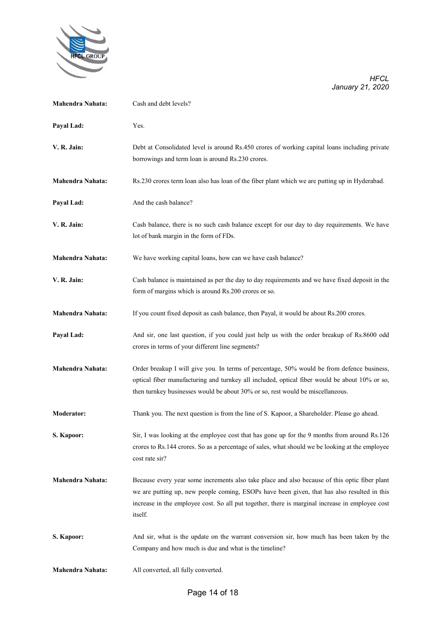

| <b>Mahendra Nahata:</b> | Cash and debt levels?                                                                                                                                                                                                                                                                                      |
|-------------------------|------------------------------------------------------------------------------------------------------------------------------------------------------------------------------------------------------------------------------------------------------------------------------------------------------------|
| Payal Lad:              | Yes.                                                                                                                                                                                                                                                                                                       |
| V. R. Jain:             | Debt at Consolidated level is around Rs.450 crores of working capital loans including private<br>borrowings and term loan is around Rs.230 crores.                                                                                                                                                         |
| <b>Mahendra Nahata:</b> | Rs.230 crores term loan also has loan of the fiber plant which we are putting up in Hyderabad.                                                                                                                                                                                                             |
| Payal Lad:              | And the cash balance?                                                                                                                                                                                                                                                                                      |
| V. R. Jain:             | Cash balance, there is no such cash balance except for our day to day requirements. We have<br>lot of bank margin in the form of FDs.                                                                                                                                                                      |
| <b>Mahendra Nahata:</b> | We have working capital loans, how can we have cash balance?                                                                                                                                                                                                                                               |
| V. R. Jain:             | Cash balance is maintained as per the day to day requirements and we have fixed deposit in the<br>form of margins which is around Rs.200 crores or so.                                                                                                                                                     |
| <b>Mahendra Nahata:</b> | If you count fixed deposit as cash balance, then Payal, it would be about Rs.200 crores.                                                                                                                                                                                                                   |
| Payal Lad:              | And sir, one last question, if you could just help us with the order breakup of Rs.8600 odd<br>crores in terms of your different line segments?                                                                                                                                                            |
| <b>Mahendra Nahata:</b> | Order breakup I will give you. In terms of percentage, 50% would be from defence business,<br>optical fiber manufacturing and turnkey all included, optical fiber would be about 10% or so,<br>then turnkey businesses would be about 30% or so, rest would be miscellaneous.                              |
| <b>Moderator:</b>       | Thank you. The next question is from the line of S. Kapoor, a Shareholder. Please go ahead.                                                                                                                                                                                                                |
| S. Kapoor:              | Sir, I was looking at the employee cost that has gone up for the 9 months from around Rs.126<br>crores to Rs.144 crores. So as a percentage of sales, what should we be looking at the employee<br>cost rate sir?                                                                                          |
| <b>Mahendra Nahata:</b> | Because every year some increments also take place and also because of this optic fiber plant<br>we are putting up, new people coming, ESOPs have been given, that has also resulted in this<br>increase in the employee cost. So all put together, there is marginal increase in employee cost<br>itself. |
| S. Kapoor:              | And sir, what is the update on the warrant conversion sir, how much has been taken by the<br>Company and how much is due and what is the timeline?                                                                                                                                                         |
| <b>Mahendra Nahata:</b> | All converted, all fully converted.                                                                                                                                                                                                                                                                        |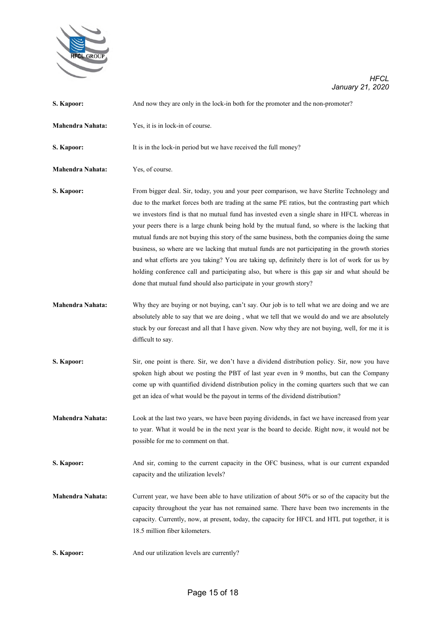

| S. Kapoor:              | And now they are only in the lock-in both for the promoter and the non-promoter?                                                                                                                                                                                                                                                                                                                                                                                                                                                                                                                                                                                                                                                                                                                                                                                             |
|-------------------------|------------------------------------------------------------------------------------------------------------------------------------------------------------------------------------------------------------------------------------------------------------------------------------------------------------------------------------------------------------------------------------------------------------------------------------------------------------------------------------------------------------------------------------------------------------------------------------------------------------------------------------------------------------------------------------------------------------------------------------------------------------------------------------------------------------------------------------------------------------------------------|
| <b>Mahendra Nahata:</b> | Yes, it is in lock-in of course.                                                                                                                                                                                                                                                                                                                                                                                                                                                                                                                                                                                                                                                                                                                                                                                                                                             |
| S. Kapoor:              | It is in the lock-in period but we have received the full money?                                                                                                                                                                                                                                                                                                                                                                                                                                                                                                                                                                                                                                                                                                                                                                                                             |
| Mahendra Nahata:        | Yes, of course.                                                                                                                                                                                                                                                                                                                                                                                                                                                                                                                                                                                                                                                                                                                                                                                                                                                              |
| S. Kapoor:              | From bigger deal. Sir, today, you and your peer comparison, we have Sterlite Technology and<br>due to the market forces both are trading at the same PE ratios, but the contrasting part which<br>we investors find is that no mutual fund has invested even a single share in HFCL whereas in<br>your peers there is a large chunk being hold by the mutual fund, so where is the lacking that<br>mutual funds are not buying this story of the same business, both the companies doing the same<br>business, so where are we lacking that mutual funds are not participating in the growth stories<br>and what efforts are you taking? You are taking up, definitely there is lot of work for us by<br>holding conference call and participating also, but where is this gap sir and what should be<br>done that mutual fund should also participate in your growth story? |
| <b>Mahendra Nahata:</b> | Why they are buying or not buying, can't say. Our job is to tell what we are doing and we are<br>absolutely able to say that we are doing, what we tell that we would do and we are absolutely<br>stuck by our forecast and all that I have given. Now why they are not buying, well, for me it is<br>difficult to say.                                                                                                                                                                                                                                                                                                                                                                                                                                                                                                                                                      |
| S. Kapoor:              | Sir, one point is there. Sir, we don't have a dividend distribution policy. Sir, now you have<br>spoken high about we posting the PBT of last year even in 9 months, but can the Company<br>come up with quantified dividend distribution policy in the coming quarters such that we can<br>get an idea of what would be the payout in terms of the dividend distribution?                                                                                                                                                                                                                                                                                                                                                                                                                                                                                                   |
| <b>Mahendra Nahata:</b> | Look at the last two years, we have been paying dividends, in fact we have increased from year<br>to year. What it would be in the next year is the board to decide. Right now, it would not be<br>possible for me to comment on that.                                                                                                                                                                                                                                                                                                                                                                                                                                                                                                                                                                                                                                       |
| S. Kapoor:              | And sir, coming to the current capacity in the OFC business, what is our current expanded<br>capacity and the utilization levels?                                                                                                                                                                                                                                                                                                                                                                                                                                                                                                                                                                                                                                                                                                                                            |
| <b>Mahendra Nahata:</b> | Current year, we have been able to have utilization of about 50% or so of the capacity but the<br>capacity throughout the year has not remained same. There have been two increments in the<br>capacity. Currently, now, at present, today, the capacity for HFCL and HTL put together, it is<br>18.5 million fiber kilometers.                                                                                                                                                                                                                                                                                                                                                                                                                                                                                                                                              |
| S. Kapoor:              | And our utilization levels are currently?                                                                                                                                                                                                                                                                                                                                                                                                                                                                                                                                                                                                                                                                                                                                                                                                                                    |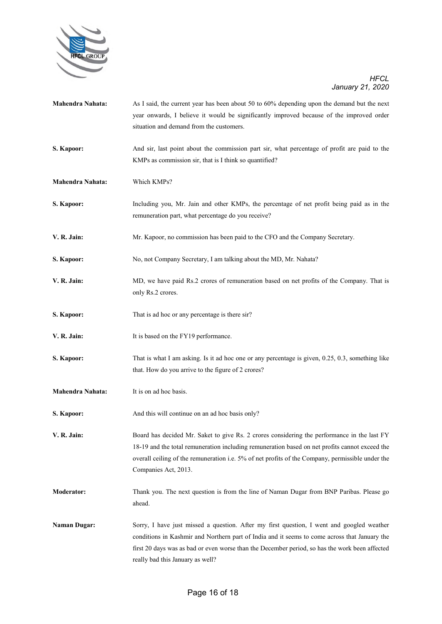

| <b>Mahendra Nahata:</b> | As I said, the current year has been about 50 to 60% depending upon the demand but the next<br>year onwards, I believe it would be significantly improved because of the improved order<br>situation and demand from the customers.                                                                                              |
|-------------------------|----------------------------------------------------------------------------------------------------------------------------------------------------------------------------------------------------------------------------------------------------------------------------------------------------------------------------------|
| S. Kapoor:              | And sir, last point about the commission part sir, what percentage of profit are paid to the<br>KMPs as commission sir, that is I think so quantified?                                                                                                                                                                           |
| <b>Mahendra Nahata:</b> | Which KMPs?                                                                                                                                                                                                                                                                                                                      |
| S. Kapoor:              | Including you, Mr. Jain and other KMPs, the percentage of net profit being paid as in the<br>remuneration part, what percentage do you receive?                                                                                                                                                                                  |
| V. R. Jain:             | Mr. Kapoor, no commission has been paid to the CFO and the Company Secretary.                                                                                                                                                                                                                                                    |
| S. Kapoor:              | No, not Company Secretary, I am talking about the MD, Mr. Nahata?                                                                                                                                                                                                                                                                |
| V. R. Jain:             | MD, we have paid Rs.2 crores of remuneration based on net profits of the Company. That is<br>only Rs.2 crores.                                                                                                                                                                                                                   |
| S. Kapoor:              | That is ad hoc or any percentage is there sir?                                                                                                                                                                                                                                                                                   |
| V. R. Jain:             | It is based on the FY19 performance.                                                                                                                                                                                                                                                                                             |
| S. Kapoor:              | That is what I am asking. Is it ad hoc one or any percentage is given, 0.25, 0.3, something like<br>that. How do you arrive to the figure of 2 crores?                                                                                                                                                                           |
| Mahendra Nahata:        | It is on ad hoc basis.                                                                                                                                                                                                                                                                                                           |
| S. Kapoor:              | And this will continue on an ad hoc basis only?                                                                                                                                                                                                                                                                                  |
| V. R. Jain:             | Board has decided Mr. Saket to give Rs. 2 crores considering the performance in the last FY<br>18-19 and the total remuneration including remuneration based on net profits cannot exceed the<br>overall ceiling of the remuneration i.e. 5% of net profits of the Company, permissible under the<br>Companies Act, 2013.        |
| <b>Moderator:</b>       | Thank you. The next question is from the line of Naman Dugar from BNP Paribas. Please go<br>ahead.                                                                                                                                                                                                                               |
| <b>Naman Dugar:</b>     | Sorry, I have just missed a question. After my first question, I went and googled weather<br>conditions in Kashmir and Northern part of India and it seems to come across that January the<br>first 20 days was as bad or even worse than the December period, so has the work been affected<br>really bad this January as well? |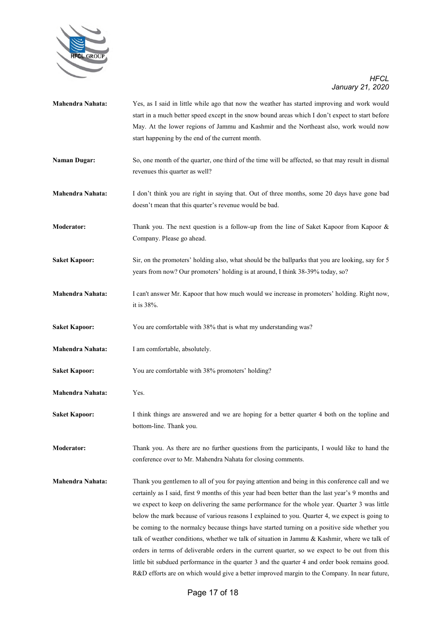

- **Mahendra Nahata:** Yes, as I said in little while ago that now the weather has started improving and work would start in a much better speed except in the snow bound areas which I don't expect to start before May. At the lower regions of Jammu and Kashmir and the Northeast also, work would now start happening by the end of the current month.
- **Naman Dugar:** So, one month of the quarter, one third of the time will be affected, so that may result in dismal revenues this quarter as well?
- **Mahendra Nahata:** I don't think you are right in saying that. Out of three months, some 20 days have gone bad doesn't mean that this quarter's revenue would be bad.
- **Moderator:** Thank you. The next question is a follow-up from the line of Saket Kapoor from Kapoor & Company. Please go ahead.
- **Saket Kapoor:** Sir, on the promoters' holding also, what should be the ballparks that you are looking, say for 5 years from now? Our promoters' holding is at around, I think 38-39% today, so?
- **Mahendra Nahata:** I can't answer Mr. Kapoor that how much would we increase in promoters' holding. Right now, it is 38%.
- Saket Kapoor: You are comfortable with 38% that is what my understanding was?
- **Mahendra Nahata:** I am comfortable, absolutely.
- **Saket Kapoor:** You are comfortable with 38% promoters' holding?
- **Mahendra Nahata:** Yes.
- **Saket Kapoor:** I think things are answered and we are hoping for a better quarter 4 both on the topline and bottom-line. Thank you.
- **Moderator:** Thank you. As there are no further questions from the participants, I would like to hand the conference over to Mr. Mahendra Nahata for closing comments.
- **Mahendra Nahata:** Thank you gentlemen to all of you for paying attention and being in this conference call and we certainly as I said, first 9 months of this year had been better than the last year's 9 months and we expect to keep on delivering the same performance for the whole year. Quarter 3 was little below the mark because of various reasons I explained to you. Quarter 4, we expect is going to be coming to the normalcy because things have started turning on a positive side whether you talk of weather conditions, whether we talk of situation in Jammu & Kashmir, where we talk of orders in terms of deliverable orders in the current quarter, so we expect to be out from this little bit subdued performance in the quarter 3 and the quarter 4 and order book remains good. R&D efforts are on which would give a better improved margin to the Company. In near future,